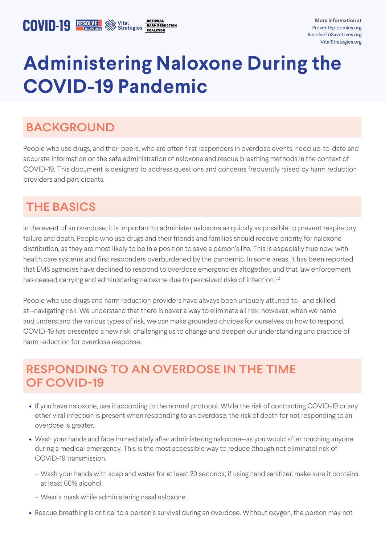# **Administering Naloxone During the COVID-19 Pandemic**

## BACKGROUND

People who use drugs, and their peers, who are often first responders in overdose events, need up-to-date and accurate information on the safe administration of naloxone and rescue breathing methods in the context of COVID-19. This document is designed to address questions and concerns frequently raised by harm reduction providers and participants.

## THE BASICS

In the event of an overdose, it is important to administer naloxone as quickly as possible to prevent respiratory failure and death. People who use drugs and their friends and families should receive priority for naloxone distribution, as they are most likely to be in a position to save a person's life. This is especially true now, with health care systems and first responders overburdened by the pandemic. In some areas, it has been reported that EMS agencies have declined to respond to overdose emergencies altogether, and that law enforcement has ceased carrying and administering naloxone due to perceived risks of infection.<sup>1,2</sup>

People who use drugs and harm reduction providers have always been uniquely attuned to—and skilled at—navigating risk. We understand that there is never a way to eliminate all risk; however, when we name and understand the various types of risk, we can make grounded choices for ourselves on how to respond. COVID-19 has presented a new risk, challenging us to change and deepen our understanding and practice of harm reduction for overdose response.

## RESPONDING TO AN OVERDOSE IN THE TIME OF COVID-19

- If you have naloxone, use it according to the normal protocol. While the risk of contracting COVID-19 or any other viral infection is present when responding to an overdose, the risk of death for not responding to an overdose is greater.
- Wash your hands and face immediately after administering naloxone—as you would after touching anyone during a medical emergency. This is the most accessible way to reduce (though not eliminate) risk of COVID-19 transmission.
	- Wash your hands with soap and water for at least 20 seconds; if using hand sanitizer, make sure it contains at least 60% alcohol.
	- Wear a mask while administering nasal naloxone.
- Rescue breathing is critical to a person's survival during an overdose. Without oxygen, the person may not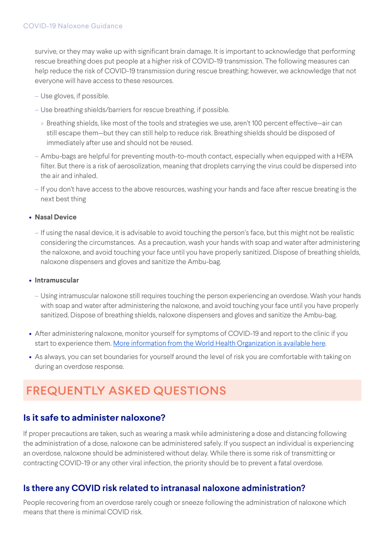survive, or they may wake up with significant brain damage. It is important to acknowledge that performing rescue breathing does put people at a higher risk of COVID-19 transmission. The following measures can help reduce the risk of COVID-19 transmission during rescue breathing; however, we acknowledge that not everyone will have access to these resources.

- Use gloves, if possible.
- Use breathing shields/barriers for rescue breathing, if possible.
	- » Breathing shields, like most of the tools and strategies we use, aren't 100 percent effective—air can still escape them—but they can still help to reduce risk. Breathing shields should be disposed of immediately after use and should not be reused.
- Ambu-bags are helpful for preventing mouth-to-mouth contact, especially when equipped with a HEPA filter. But there is a risk of aerosolization, meaning that droplets carrying the virus could be dispersed into the air and inhaled.
- If you don't have access to the above resources, washing your hands and face after rescue breating is the next best thing

#### **• Nasal Device**

– If using the nasal device, it is advisable to avoid touching the person's face, but this might not be realistic considering the circumstances. As a precaution, wash your hands with soap and water after administering the naloxone, and avoid touching your face until you have properly sanitized. Dispose of breathing shields, naloxone dispensers and gloves and sanitize the Ambu-bag.

#### **• Intramuscular**

- Using intramuscular naloxone still requires touching the person experiencing an overdose. Wash your hands with soap and water after administering the naloxone, and avoid touching your face until you have properly sanitized. Dispose of breathing shields, naloxone dispensers and gloves and sanitize the Ambu-bag.
- After administering naloxone, monitor yourself for symptoms of COVID-19 and report to the clinic if you start to experience them. [More information from the World Health Organization is available here](https://www.who.int/health-topics/coronavirus#tab=tab_3).
- As always, you can set boundaries for yourself around the level of risk you are comfortable with taking on during an overdose response.

# FREQUENTLY ASKED QUESTIONS

### **Is it safe to administer naloxone?**

If proper precautions are taken, such as wearing a mask while administering a dose and distancing following the administration of a dose, naloxone can be administered safely. If you suspect an individual is experiencing an overdose, naloxone should be administered without delay. While there is some risk of transmitting or contracting COVID-19 or any other viral infection, the priority should be to prevent a fatal overdose.

### **Is there any COVID risk related to intranasal naloxone administration?**

People recovering from an overdose rarely cough or sneeze following the administration of naloxone which means that there is minimal COVID risk.